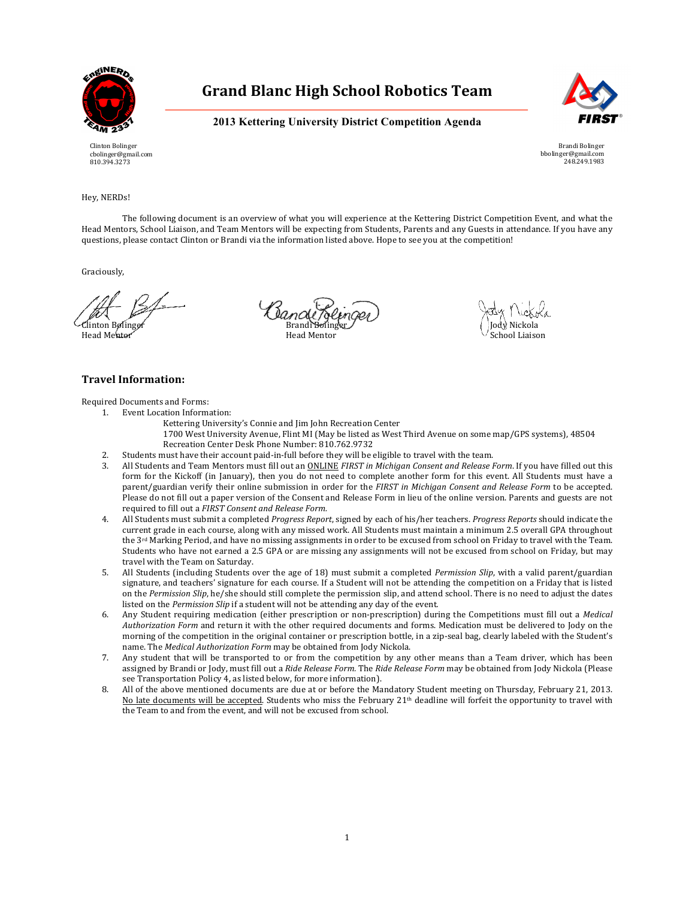

Clinton Bolinger cbolinger@gmail.com 810.394.3273

## **Grand Blanc High School Robotics Team**

**2013 Kettering University District Competition Agenda**



Brandi Bolinger bbolinger@gmail.com 248.249.1983

### Hey, NERDs!

The following document is an overview of what you will experience at the Kettering District Competition Event, and what the Head Mentors, School Liaison, and Team Mentors will be expecting from Students, Parents and any Guests in attendance. If you have any questions, please contact Clinton or Brandi via the information listed above. Hope to see you at the competition!

Graciously,

Clinton Bolinger Brandi Bolinger Jody Nickola Head Me<del>nto</del>r New School Liaison (New York) Head Mentor New York School Liaison

## **Travel Information:**

Required Documents and Forms:

- 1. Event Location Information:
	- Kettering University's Connie and Jim John Recreation Center
	- 1700 West University Avenue, Flint MI (May be listed as West Third Avenue on some map/GPS systems), 48504 Recreation Center Desk Phone Number: 810.762.9732
	- 2. Students must have their account paid-in-full before they will be eligible to travel with the team.
- 3. All Students and Team Mentors must fill out an *ONLINE FIRST in Michigan Consent and Release Form*. If you have filled out this form for the Kickoff (in January), then you do not need to complete another form for this event. All Students must have a parent/guardian verify their online submission in order for the FIRST in Michigan Consent and Release Form to be accepted. Please do not fill out a paper version of the Consent and Release Form in lieu of the online version. Parents and guests are not required to fill out a FIRST Consent and Release Form.
- 4. All Students must submit a completed *Progress Report*, signed by each of his/her teachers. *Progress Reports* should indicate the current grade in each course, along with any missed work. All Students must maintain a minimum 2.5 overall GPA throughout the 3<sup>rd</sup> Marking Period, and have no missing assignments in order to be excused from school on Friday to travel with the Team. Students who have not earned a 2.5 GPA or are missing any assignments will not be excused from school on Friday, but may travel with the Team on Saturday.
- 5. All Students (including Students over the age of 18) must submit a completed *Permission Slip*, with a valid parent/guardian signature, and teachers' signature for each course. If a Student will not be attending the competition on a Friday that is listed on the *Permission Slip*, he/she should still complete the permission slip, and attend school. There is no need to adjust the dates listed on the *Permission Slip* if a student will not be attending any day of the event.
- 6. Any Student requiring medication (either prescription or non-prescription) during the Competitions must fill out a Medical *Authorization Form* and return it with the other required documents and forms. Medication must be delivered to Jody on the morning of the competition in the original container or prescription bottle, in a zip-seal bag, clearly labeled with the Student's name. The *Medical Authorization Form* may be obtained from Jody Nickola.
- 7. Any student that will be transported to or from the competition by any other means than a Team driver, which has been assigned by Brandi or Jody, must fill out a *Ride Release Form*. The *Ride Release Form* may be obtained from Jody Nickola (Please see Transportation Policy 4, as listed below, for more information).
- All of the above mentioned documents are due at or before the Mandatory Student meeting on Thursday, February 21, 2013. No late documents will be accepted. Students who miss the February  $21<sup>th</sup>$  deadline will forfeit the opportunity to travel with the Team to and from the event, and will not be excused from school.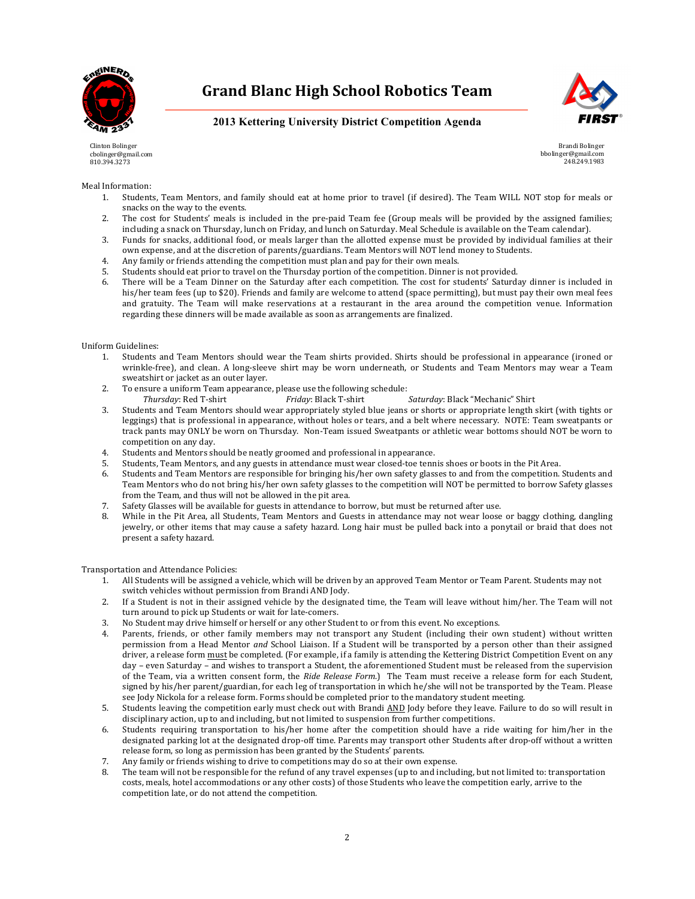



**2013 Kettering University District Competition Agenda**

Clinton Bolinger cbolinger@gmail.com 810.394.3273

Brandi Bolinger bbolinger@gmail.com 248.249.1983

### Meal Information:

- 1. Students, Team Mentors, and family should eat at home prior to travel (if desired). The Team WILL NOT stop for meals or snacks on the way to the events.
- 2. The cost for Students' meals is included in the pre-paid Team fee (Group meals will be provided by the assigned families; including a snack on Thursday, lunch on Friday, and lunch on Saturday. Meal Schedule is available on the Team calendar).
- 3. Funds for snacks, additional food, or meals larger than the allotted expense must be provided by individual families at their own expense, and at the discretion of parents/guardians. Team Mentors will NOT lend money to Students.
- 4. Any family or friends attending the competition must plan and pay for their own meals.
- 5. Students should eat prior to travel on the Thursday portion of the competition. Dinner is not provided.
- 6. There will be a Team Dinner on the Saturday after each competition. The cost for students' Saturday dinner is included in his/her team fees (up to \$20). Friends and family are welcome to attend (space permitting), but must pay their own meal fees and gratuity. The Team will make reservations at a restaurant in the area around the competition venue. Information regarding these dinners will be made available as soon as arrangements are finalized.

#### Uniform Guidelines:

- 1. Students and Team Mentors should wear the Team shirts provided. Shirts should be professional in appearance (ironed or wrinkle-free), and clean. A long-sleeve shirt may be worn underneath, or Students and Team Mentors may wear a Team sweatshirt or jacket as an outer layer.
- 2. To ensure a uniform Team appearance, please use the following schedule: *Thursday*: Red T-shirt *Friday*: Black T-shirt *Saturday*: Black "Mechanic" Shirt
- 3. Students and Team Mentors should wear appropriately styled blue jeans or shorts or appropriate length skirt (with tights or leggings) that is professional in appearance, without holes or tears, and a belt where necessary. NOTE: Team sweatpants or track pants may ONLY be worn on Thursday. Non-Team issued Sweatpants or athletic wear bottoms should NOT be worn to competition on any day.
- 4. Students and Mentors should be neatly groomed and professional in appearance.
- 5. Students, Team Mentors, and any guests in attendance must wear closed-toe tennis shoes or boots in the Pit Area.
- 6. Students and Team Mentors are responsible for bringing his/her own safety glasses to and from the competition. Students and Team Mentors who do not bring his/her own safety glasses to the competition will NOT be permitted to borrow Safety glasses from the Team, and thus will not be allowed in the pit area.
- 7. Safety Glasses will be available for guests in attendance to borrow, but must be returned after use.
- 8. While in the Pit Area, all Students, Team Mentors and Guests in attendance may not wear loose or baggy clothing, dangling jewelry, or other items that may cause a safety hazard. Long hair must be pulled back into a ponytail or braid that does not present a safety hazard.

#### Transportation and Attendance Policies:

- 1. All Students will be assigned a vehicle, which will be driven by an approved Team Mentor or Team Parent. Students may not switch vehicles without permission from Brandi AND Jody.
- 2. If a Student is not in their assigned vehicle by the designated time, the Team will leave without him/her. The Team will not turn around to pick up Students or wait for late-comers.
- 3. No Student may drive himself or herself or any other Student to or from this event. No exceptions.
- 4. Parents, friends, or other family members may not transport any Student (including their own student) without written permission from a Head Mentor and School Liaison. If a Student will be transported by a person other than their assigned driver, a release form must be completed. (For example, if a family is attending the Kettering District Competition Event on any day – even Saturday – and wishes to transport a Student, the aforementioned Student must be released from the supervision of the Team, via a written consent form, the *Ride Release Form*.) The Team must receive a release form for each Student, signed by his/her parent/guardian, for each leg of transportation in which he/she will not be transported by the Team. Please see Jody Nickola for a release form. Forms should be completed prior to the mandatory student meeting.
- 5. Students leaving the competition early must check out with Brandi AND Jody before they leave. Failure to do so will result in disciplinary action, up to and including, but not limited to suspension from further competitions.
- 6. Students requiring transportation to his/her home after the competition should have a ride waiting for him/her in the designated parking lot at the designated drop-off time. Parents may transport other Students after drop-off without a written release form, so long as permission has been granted by the Students' parents.
- 7. Any family or friends wishing to drive to competitions may do so at their own expense.
- 8. The team will not be responsible for the refund of any travel expenses (up to and including, but not limited to: transportation costs, meals, hotel accommodations or any other costs) of those Students who leave the competition early, arrive to the competition late, or do not attend the competition.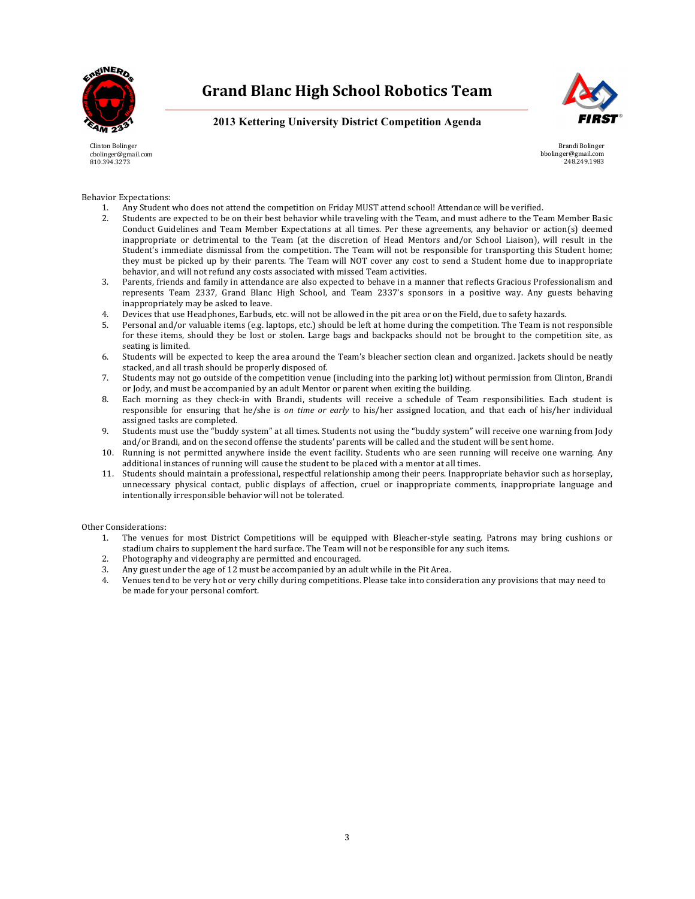



**2013 Kettering University District Competition Agenda**

Clinton Bolinger cbolinger@gmail.com 810.394.3273

Brandi Bolinger bbolinger@gmail.com 248.249.1983

Behavior Expectations:

- 1. Any Student who does not attend the competition on Friday MUST attend school! Attendance will be verified.
- 2. Students are expected to be on their best behavior while traveling with the Team, and must adhere to the Team Member Basic Conduct Guidelines and Team Member Expectations at all times. Per these agreements, any behavior or action(s) deemed inappropriate or detrimental to the Team (at the discretion of Head Mentors and/or School Liaison), will result in the Student's immediate dismissal from the competition. The Team will not be responsible for transporting this Student home; they must be picked up by their parents. The Team will NOT cover any cost to send a Student home due to inappropriate behavior, and will not refund any costs associated with missed Team activities.
- 3. Parents, friends and family in attendance are also expected to behave in a manner that reflects Gracious Professionalism and represents Team 2337, Grand Blanc High School, and Team 2337's sponsors in a positive way. Any guests behaving inappropriately may be asked to leave.
- 4. Devices that use Headphones, Earbuds, etc. will not be allowed in the pit area or on the Field, due to safety hazards.
- 5. Personal and/or valuable items (e.g. laptops, etc.) should be left at home during the competition. The Team is not responsible for these items, should they be lost or stolen. Large bags and backpacks should not be brought to the competition site, as seating is limited.
- 6. Students will be expected to keep the area around the Team's bleacher section clean and organized. Jackets should be neatly stacked, and all trash should be properly disposed of.
- 7. Students may not go outside of the competition venue (including into the parking lot) without permission from Clinton, Brandi or Jody, and must be accompanied by an adult Mentor or parent when exiting the building.
- 8. Each morning as they check-in with Brandi, students will receive a schedule of Team responsibilities. Each student is responsible for ensuring that he/she is *on time or early* to his/her assigned location, and that each of his/her individual assigned tasks are completed.
- 9. Students must use the "buddy system" at all times. Students not using the "buddy system" will receive one warning from Jody and/or Brandi, and on the second offense the students' parents will be called and the student will be sent home.
- 10. Running is not permitted anywhere inside the event facility. Students who are seen running will receive one warning. Any additional instances of running will cause the student to be placed with a mentor at all times.
- 11. Students should maintain a professional, respectful relationship among their peers. Inappropriate behavior such as horseplay, unnecessary physical contact, public displays of affection, cruel or inappropriate comments, inappropriate language and intentionally irresponsible behavior will not be tolerated.

Other Considerations:

- 1. The venues for most District Competitions will be equipped with Bleacher-style seating. Patrons may bring cushions or stadium chairs to supplement the hard surface. The Team will not be responsible for any such items.
- 2. Photography and videography are permitted and encouraged.
- 3. Any guest under the age of 12 must be accompanied by an adult while in the Pit Area.
- 4. Venues tend to be very hot or very chilly during competitions. Please take into consideration any provisions that may need to be made for your personal comfort.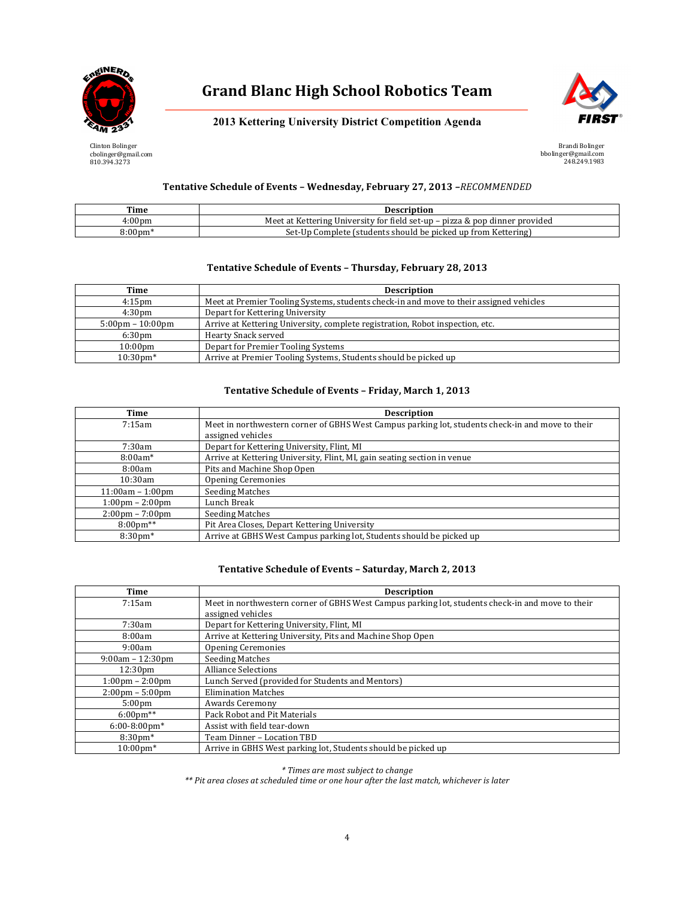



**2013 Kettering University District Competition Agenda**

Clinton Bolinger cbolinger@gmail.com 810.394.3273

Brandi Bolinger bbolinger@gmail.com 248.249.1983

## **Tentative Schedule of Events – Wednesday, February 27, 2013** *–RECOMMENDED*

| Time               | <b>Description</b>                                                          |
|--------------------|-----------------------------------------------------------------------------|
| 4:00 <sub>pm</sub> | Meet at Kettering University for field set-up – pizza & pop dinner provided |
| $\alpha$ :00nm*    | p Complete (students should be picked up from Kettering)<br>Set-Up          |

## Tentative Schedule of Events - Thursday, February 28, 2013

| Time                               | <b>Description</b>                                                                     |
|------------------------------------|----------------------------------------------------------------------------------------|
| $4:15$ pm                          | Meet at Premier Tooling Systems, students check-in and move to their assigned vehicles |
| 4:30 <sub>pm</sub>                 | Depart for Kettering University                                                        |
| $5:00 \text{pm} - 10:00 \text{pm}$ | Arrive at Kettering University, complete registration, Robot inspection, etc.          |
| 6:30 <sub>pm</sub>                 | Hearty Snack served                                                                    |
| $10:00 \text{pm}$                  | Depart for Premier Tooling Systems                                                     |
| $10:30$ pm*                        | Arrive at Premier Tooling Systems, Students should be picked up                        |

## **Tentative Schedule of Events – Friday, March 1, 2013**

| Time                              | <b>Description</b>                                                                               |
|-----------------------------------|--------------------------------------------------------------------------------------------------|
| 7:15am                            | Meet in northwestern corner of GBHS West Campus parking lot, students check-in and move to their |
|                                   | assigned vehicles                                                                                |
| 7:30am                            | Depart for Kettering University, Flint, MI                                                       |
| $8:00am*$                         | Arrive at Kettering University, Flint, MI, gain seating section in venue                         |
| 8:00am                            | Pits and Machine Shop Open                                                                       |
| 10:30am                           | <b>Opening Ceremonies</b>                                                                        |
| $11:00am - 1:00pm$                | <b>Seeding Matches</b>                                                                           |
| $1:00 \text{pm} - 2:00 \text{pm}$ | Lunch Break                                                                                      |
| $2:00 \text{pm} - 7:00 \text{pm}$ | <b>Seeding Matches</b>                                                                           |
| $8:00 \text{pm}^{**}$             | Pit Area Closes, Depart Kettering University                                                     |
| $8:30 \text{pm}^*$                | Arrive at GBHS West Campus parking lot, Students should be picked up                             |

## Tentative Schedule of Events - Saturday, March 2, 2013

| Time                              | <b>Description</b>                                                                               |
|-----------------------------------|--------------------------------------------------------------------------------------------------|
| 7:15am                            | Meet in northwestern corner of GBHS West Campus parking lot, students check-in and move to their |
|                                   | assigned vehicles                                                                                |
| 7:30am                            | Depart for Kettering University, Flint, MI                                                       |
| 8:00am                            | Arrive at Kettering University, Pits and Machine Shop Open                                       |
| 9:00am                            | <b>Opening Ceremonies</b>                                                                        |
| $9:00am - 12:30pm$                | <b>Seeding Matches</b>                                                                           |
| 12:30pm                           | <b>Alliance Selections</b>                                                                       |
| $1:00 \text{pm} - 2:00 \text{pm}$ | Lunch Served (provided for Students and Mentors)                                                 |
| $2:00 \text{pm} - 5:00 \text{pm}$ | <b>Elimination Matches</b>                                                                       |
| 5:00 <sub>pm</sub>                | Awards Ceremony                                                                                  |
| $6:00 \text{pm}^{**}$             | Pack Robot and Pit Materials                                                                     |
| $6:00-8:00$ pm*                   | Assist with field tear-down                                                                      |
| $8:30$ pm*                        | Team Dinner - Location TBD                                                                       |
| $10:00 \text{pm*}$                | Arrive in GBHS West parking lot, Students should be picked up                                    |

*\* Times are most subject to change*

\*\* Pit area closes at scheduled time or one hour after the last match, whichever is later